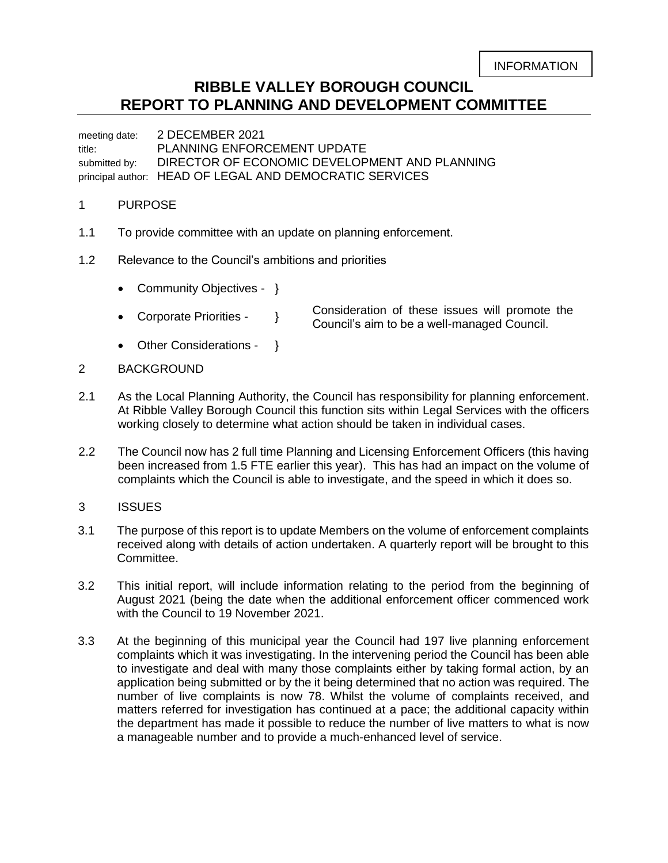# **RIBBLE VALLEY BOROUGH COUNCIL REPORT TO PLANNING AND DEVELOPMENT COMMITTEE**

meeting date: 2 DECEMBER 2021 title: PLANNING ENFORCEMENT UPDATE submitted by: DIRECTOR OF ECONOMIC DEVELOPMENT AND PLANNING principal author: HEAD OF LEGAL AND DEMOCRATIC SERVICES

# 1 PURPOSE

- 1.1 To provide committee with an update on planning enforcement.
- 1.2 Relevance to the Council's ambitions and priorities
	- Community Objectives }
	- Corporate Priorities }
- Consideration of these issues will promote the Council's aim to be a well-managed Council.
- Other Considerations }
- 2 BACKGROUND
- 2.1 As the Local Planning Authority, the Council has responsibility for planning enforcement. At Ribble Valley Borough Council this function sits within Legal Services with the officers working closely to determine what action should be taken in individual cases.
- 2.2 The Council now has 2 full time Planning and Licensing Enforcement Officers (this having been increased from 1.5 FTE earlier this year). This has had an impact on the volume of complaints which the Council is able to investigate, and the speed in which it does so.
- 3 ISSUES
- 3.1 The purpose of this report is to update Members on the volume of enforcement complaints received along with details of action undertaken. A quarterly report will be brought to this Committee.
- 3.2 This initial report, will include information relating to the period from the beginning of August 2021 (being the date when the additional enforcement officer commenced work with the Council to 19 November 2021.
- 3.3 At the beginning of this municipal year the Council had 197 live planning enforcement complaints which it was investigating. In the intervening period the Council has been able to investigate and deal with many those complaints either by taking formal action, by an application being submitted or by the it being determined that no action was required. The number of live complaints is now 78. Whilst the volume of complaints received, and matters referred for investigation has continued at a pace; the additional capacity within the department has made it possible to reduce the number of live matters to what is now a manageable number and to provide a much-enhanced level of service.